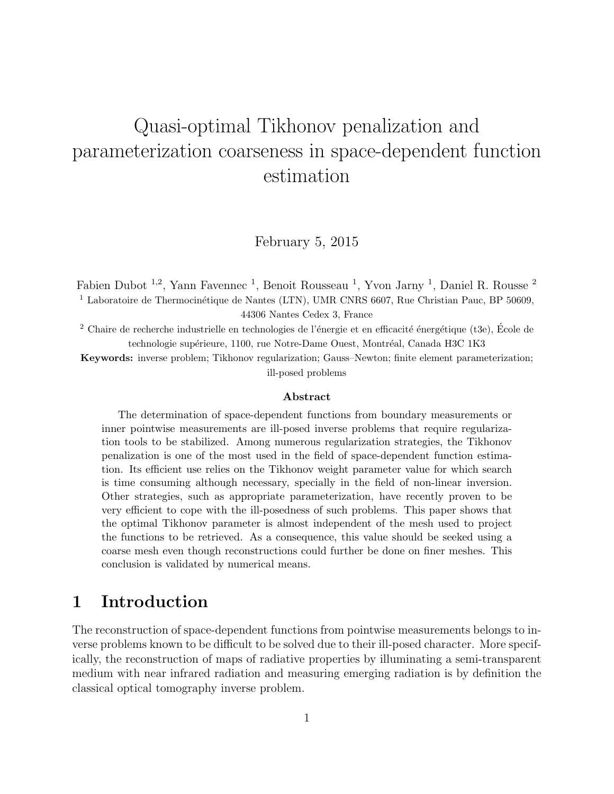# Quasi-optimal Tikhonov penalization and parameterization coarseness in space-dependent function estimation

February 5, 2015

Fabien Dubot <sup>1,2</sup>, Yann Favennec <sup>1</sup>, Benoit Rousseau <sup>1</sup>, Yvon Jarny <sup>1</sup>, Daniel R. Rousse <sup>2</sup>  $1$  Laboratoire de Thermocinétique de Nantes (LTN), UMR CNRS 6607, Rue Christian Pauc, BP 50609, 44306 Nantes Cedex 3, France

<sup>2</sup> Chaire de recherche industrielle en technologies de l'énergie et en efficacité énergétique (t3e), École de technologie supérieure, 1100, rue Notre-Dame Ouest, Montréal, Canada H3C 1K3

Keywords: inverse problem; Tikhonov regularization; Gauss–Newton; finite element parameterization; ill-posed problems

#### Abstract

The determination of space-dependent functions from boundary measurements or inner pointwise measurements are ill-posed inverse problems that require regularization tools to be stabilized. Among numerous regularization strategies, the Tikhonov penalization is one of the most used in the field of space-dependent function estimation. Its efficient use relies on the Tikhonov weight parameter value for which search is time consuming although necessary, specially in the field of non-linear inversion. Other strategies, such as appropriate parameterization, have recently proven to be very efficient to cope with the ill-posedness of such problems. This paper shows that the optimal Tikhonov parameter is almost independent of the mesh used to project the functions to be retrieved. As a consequence, this value should be seeked using a coarse mesh even though reconstructions could further be done on finer meshes. This conclusion is validated by numerical means.

## 1 Introduction

The reconstruction of space-dependent functions from pointwise measurements belongs to inverse problems known to be difficult to be solved due to their ill-posed character. More specifically, the reconstruction of maps of radiative properties by illuminating a semi-transparent medium with near infrared radiation and measuring emerging radiation is by definition the classical optical tomography inverse problem.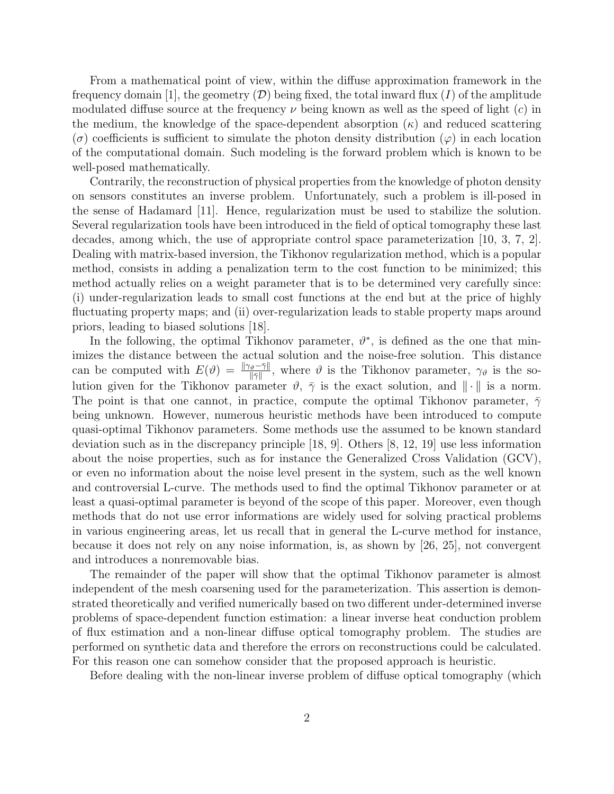From a mathematical point of view, within the diffuse approximation framework in the frequency domain [1], the geometry  $(D)$  being fixed, the total inward flux (I) of the amplitude modulated diffuse source at the frequency  $\nu$  being known as well as the speed of light (c) in the medium, the knowledge of the space-dependent absorption  $(\kappa)$  and reduced scattering  $(\sigma)$  coefficients is sufficient to simulate the photon density distribution  $(\varphi)$  in each location of the computational domain. Such modeling is the forward problem which is known to be well-posed mathematically.

Contrarily, the reconstruction of physical properties from the knowledge of photon density on sensors constitutes an inverse problem. Unfortunately, such a problem is ill-posed in the sense of Hadamard [11]. Hence, regularization must be used to stabilize the solution. Several regularization tools have been introduced in the field of optical tomography these last decades, among which, the use of appropriate control space parameterization [10, 3, 7, 2]. Dealing with matrix-based inversion, the Tikhonov regularization method, which is a popular method, consists in adding a penalization term to the cost function to be minimized; this method actually relies on a weight parameter that is to be determined very carefully since: (i) under-regularization leads to small cost functions at the end but at the price of highly fluctuating property maps; and (ii) over-regularization leads to stable property maps around priors, leading to biased solutions [18].

In the following, the optimal Tikhonov parameter,  $\vartheta^*$ , is defined as the one that minimizes the distance between the actual solution and the noise-free solution. This distance can be computed with  $E(\vartheta) = \frac{\|\gamma_{\vartheta} - \bar{\gamma}\|}{\|\bar{\gamma}\|}$ , where  $\vartheta$  is the Tikhonov parameter,  $\gamma_{\vartheta}$  is the solution given for the Tikhonov parameter  $\vartheta$ ,  $\bar{\gamma}$  is the exact solution, and  $\|\cdot\|$  is a norm. The point is that one cannot, in practice, compute the optimal Tikhonov parameter,  $\bar{\gamma}$ being unknown. However, numerous heuristic methods have been introduced to compute quasi-optimal Tikhonov parameters. Some methods use the assumed to be known standard deviation such as in the discrepancy principle [18, 9]. Others [8, 12, 19] use less information about the noise properties, such as for instance the Generalized Cross Validation (GCV), or even no information about the noise level present in the system, such as the well known and controversial L-curve. The methods used to find the optimal Tikhonov parameter or at least a quasi-optimal parameter is beyond of the scope of this paper. Moreover, even though methods that do not use error informations are widely used for solving practical problems in various engineering areas, let us recall that in general the L-curve method for instance, because it does not rely on any noise information, is, as shown by [26, 25], not convergent and introduces a nonremovable bias.

The remainder of the paper will show that the optimal Tikhonov parameter is almost independent of the mesh coarsening used for the parameterization. This assertion is demonstrated theoretically and verified numerically based on two different under-determined inverse problems of space-dependent function estimation: a linear inverse heat conduction problem of flux estimation and a non-linear diffuse optical tomography problem. The studies are performed on synthetic data and therefore the errors on reconstructions could be calculated. For this reason one can somehow consider that the proposed approach is heuristic.

Before dealing with the non-linear inverse problem of diffuse optical tomography (which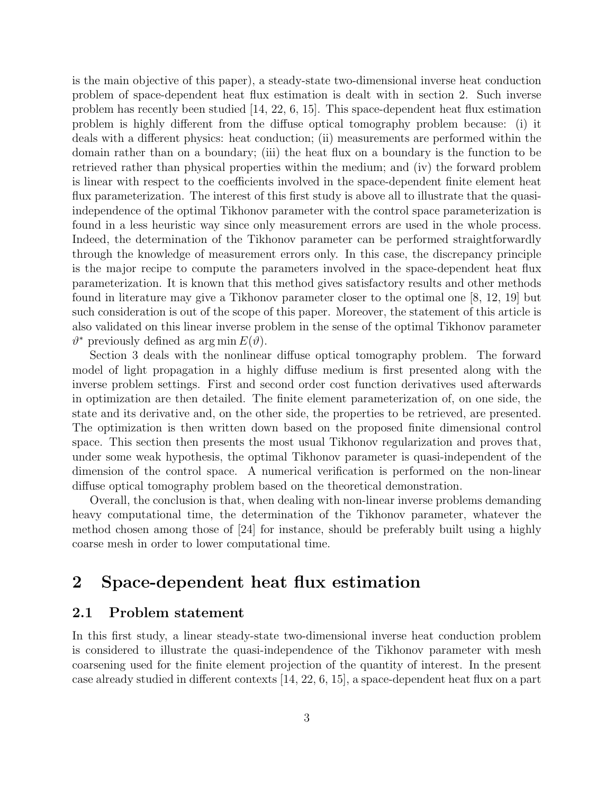is the main objective of this paper), a steady-state two-dimensional inverse heat conduction problem of space-dependent heat flux estimation is dealt with in section 2. Such inverse problem has recently been studied [14, 22, 6, 15]. This space-dependent heat flux estimation problem is highly different from the diffuse optical tomography problem because: (i) it deals with a different physics: heat conduction; (ii) measurements are performed within the domain rather than on a boundary; (iii) the heat flux on a boundary is the function to be retrieved rather than physical properties within the medium; and (iv) the forward problem is linear with respect to the coefficients involved in the space-dependent finite element heat flux parameterization. The interest of this first study is above all to illustrate that the quasiindependence of the optimal Tikhonov parameter with the control space parameterization is found in a less heuristic way since only measurement errors are used in the whole process. Indeed, the determination of the Tikhonov parameter can be performed straightforwardly through the knowledge of measurement errors only. In this case, the discrepancy principle is the major recipe to compute the parameters involved in the space-dependent heat flux parameterization. It is known that this method gives satisfactory results and other methods found in literature may give a Tikhonov parameter closer to the optimal one [8, 12, 19] but such consideration is out of the scope of this paper. Moreover, the statement of this article is also validated on this linear inverse problem in the sense of the optimal Tikhonov parameter  $\vartheta^*$  previously defined as arg min  $E(\vartheta)$ .

Section 3 deals with the nonlinear diffuse optical tomography problem. The forward model of light propagation in a highly diffuse medium is first presented along with the inverse problem settings. First and second order cost function derivatives used afterwards in optimization are then detailed. The finite element parameterization of, on one side, the state and its derivative and, on the other side, the properties to be retrieved, are presented. The optimization is then written down based on the proposed finite dimensional control space. This section then presents the most usual Tikhonov regularization and proves that, under some weak hypothesis, the optimal Tikhonov parameter is quasi-independent of the dimension of the control space. A numerical verification is performed on the non-linear diffuse optical tomography problem based on the theoretical demonstration.

Overall, the conclusion is that, when dealing with non-linear inverse problems demanding heavy computational time, the determination of the Tikhonov parameter, whatever the method chosen among those of [24] for instance, should be preferably built using a highly coarse mesh in order to lower computational time.

## 2 Space-dependent heat flux estimation

#### 2.1 Problem statement

In this first study, a linear steady-state two-dimensional inverse heat conduction problem is considered to illustrate the quasi-independence of the Tikhonov parameter with mesh coarsening used for the finite element projection of the quantity of interest. In the present case already studied in different contexts [14, 22, 6, 15], a space-dependent heat flux on a part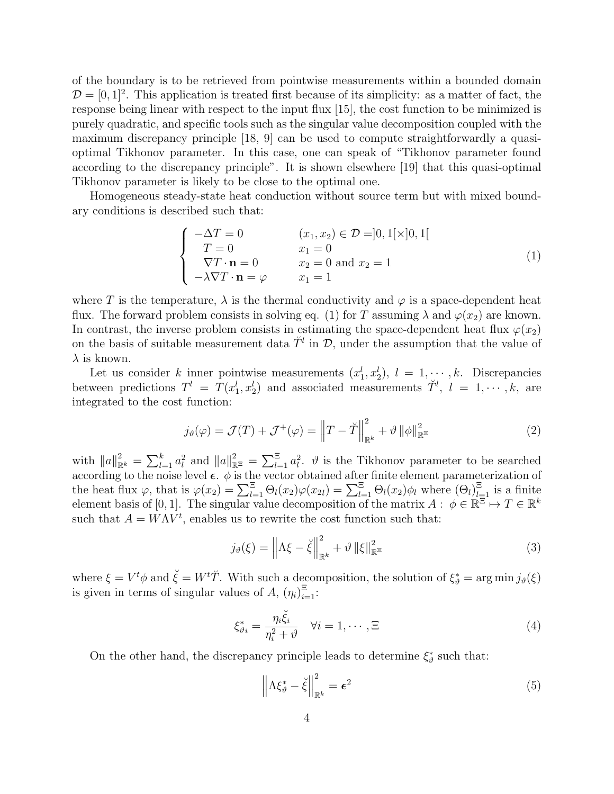of the boundary is to be retrieved from pointwise measurements within a bounded domain  $\mathcal{D} = [0, 1]^2$ . This application is treated first because of its simplicity: as a matter of fact, the response being linear with respect to the input flux [15], the cost function to be minimized is purely quadratic, and specific tools such as the singular value decomposition coupled with the maximum discrepancy principle [18, 9] can be used to compute straightforwardly a quasioptimal Tikhonov parameter. In this case, one can speak of "Tikhonov parameter found according to the discrepancy principle". It is shown elsewhere [19] that this quasi-optimal Tikhonov parameter is likely to be close to the optimal one.

Homogeneous steady-state heat conduction without source term but with mixed boundary conditions is described such that:

$$
\begin{cases}\n-\Delta T = 0 & (x_1, x_2) \in \mathcal{D} = ]0, 1[\times]0, 1[ \\
T = 0 & x_1 = 0 \\
\nabla T \cdot \mathbf{n} = 0 & x_2 = 0 \text{ and } x_2 = 1 \\
-\lambda \nabla T \cdot \mathbf{n} = \varphi & x_1 = 1\n\end{cases}
$$
\n(1)

where T is the temperature,  $\lambda$  is the thermal conductivity and  $\varphi$  is a space-dependent heat flux. The forward problem consists in solving eq. (1) for T assuming  $\lambda$  and  $\varphi(x_2)$  are known. In contrast, the inverse problem consists in estimating the space-dependent heat flux  $\varphi(x_2)$ on the basis of suitable measurement data  $\tilde{T}^l$  in  $\mathcal{D}$ , under the assumption that the value of  $\lambda$  is known.

Let us consider k inner pointwise measurements  $(x_1^l, x_2^l)$ ,  $l = 1, \dots, k$ . Discrepancies between predictions  $T^l = T(x_1^l, x_2^l)$  and associated measurements  $\tilde{T}^l$ ,  $l = 1, \dots, k$ , are integrated to the cost function:

$$
j_{\vartheta}(\varphi) = \mathcal{J}(T) + \mathcal{J}^+(\varphi) = \left\|T - \breve{T}\right\|_{\mathbb{R}^k}^2 + \vartheta \left\|\phi\right\|_{\mathbb{R}^\Xi}^2 \tag{2}
$$

with  $||a||_{\mathbb{R}^k}^2 = \sum_{l=1}^k a_l^2$  and  $||a||_{\mathbb{R}^k}^2 = \sum_{l=1}^k a_l^2$ .  $\vartheta$  is the Tikhonov parameter to be searched according to the noise level  $\epsilon$ .  $\phi$  is the vector obtained after finite element parameterization of the heat flux  $\varphi$ , that is  $\varphi(x_2) = \sum_{l=1}^{\Xi} \Theta_l(x_2) \varphi(x_{2l}) = \sum_{l=1}^{\Xi} \Theta_l(x_2) \phi_l$  where  $(\Theta_l)_{l=1}^{\Xi}$  is a finite element basis of [0, 1]. The singular value decomposition of the matrix  $A: \phi \in \mathbb{R}^{\mathbb{Z}} \mapsto T \in \mathbb{R}^k$ such that  $A = W\Lambda V^t$ , enables us to rewrite the cost function such that:

$$
j_{\vartheta}(\xi) = \left\| \Lambda \xi - \breve{\xi} \right\|_{\mathbb{R}^k}^2 + \vartheta \left\| \xi \right\|_{\mathbb{R}^{\Xi}}^2 \tag{3}
$$

where  $\xi = V^t \phi$  and  $\check{\xi} = W^t \check{T}$ . With such a decomposition, the solution of  $\xi_{\vartheta}^* = \arg \min j_{\vartheta}(\xi)$ is given in terms of singular values of A,  $(\eta_i)_{i=1}^{\Xi}$ :

$$
\xi_{\vartheta_i}^* = \frac{\eta_i \breve{\xi}_i}{\eta_i^2 + \vartheta} \quad \forall i = 1, \cdots, \Xi
$$
\n(4)

On the other hand, the discrepancy principle leads to determine  $\xi^*_{\vartheta}$  such that:

$$
\left\| \Lambda \xi_{\vartheta}^* - \breve{\xi} \right\|_{\mathbb{R}^k}^2 = \epsilon^2 \tag{5}
$$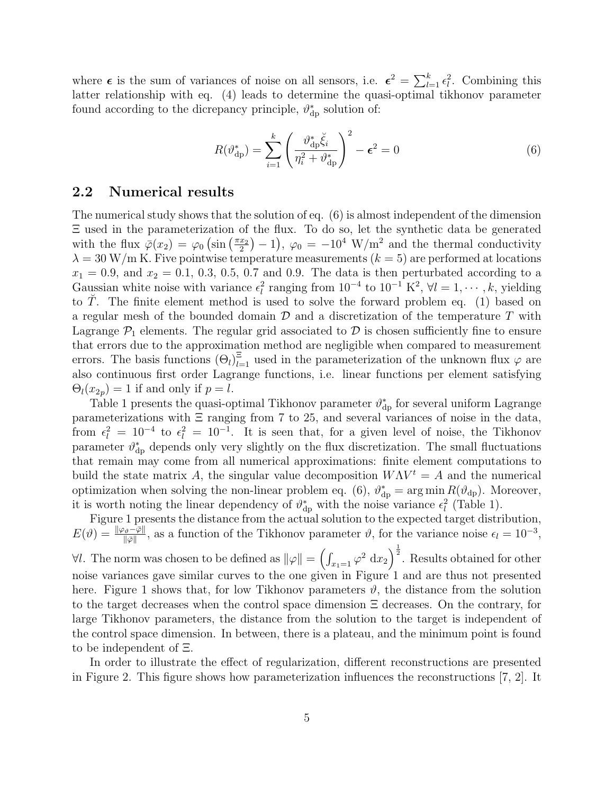where  $\epsilon$  is the sum of variances of noise on all sensors, i.e.  $\epsilon^2 = \sum_{l=1}^k \epsilon_l^2$ . Combining this latter relationship with eq. (4) leads to determine the quasi-optimal tikhonov parameter found according to the dicrepancy principle,  $\vartheta_{dp}^*$  solution of:

$$
R(\vartheta_{\rm dp}^*) = \sum_{i=1}^k \left( \frac{\vartheta_{\rm dp}^* \breve{\xi}_i}{\eta_i^2 + \vartheta_{\rm dp}^*} \right)^2 - \epsilon^2 = 0 \tag{6}
$$

#### 2.2 Numerical results

The numerical study shows that the solution of eq. (6) is almost independent of the dimension Ξ used in the parameterization of the flux. To do so, let the synthetic data be generated with the flux  $\bar{\varphi}(x_2) = \varphi_0 \left( \sin \left( \frac{\pi x_2}{2} \right) \right)$  $(\frac{x_2}{2})-1$ ,  $\varphi_0 = -10^4$  W/m<sup>2</sup> and the thermal conductivity  $\lambda = 30$  W/m K. Five pointwise temperature measurements ( $k = 5$ ) are performed at locations  $x_1 = 0.9$ , and  $x_2 = 0.1$ , 0.3, 0.5, 0.7 and 0.9. The data is then perturbated according to a Gaussian white noise with variance  $\epsilon_l^2$  ranging from  $10^{-4}$  to  $10^{-1}$  K<sup>2</sup>,  $\forall l = 1, \dots, k$ , yielding to T. The finite element method is used to solve the forward problem eq. (1) based on a regular mesh of the bounded domain  $\mathcal D$  and a discretization of the temperature  $T$  with Lagrange  $P_1$  elements. The regular grid associated to D is chosen sufficiently fine to ensure that errors due to the approximation method are negligible when compared to measurement errors. The basis functions  $(\Theta_l)_{l=1}^{\Xi}$  used in the parameterization of the unknown flux  $\varphi$  are also continuous first order Lagrange functions, i.e. linear functions per element satisfying  $\Theta_l(x_{2p}) = 1$  if and only if  $p = l$ .

Table 1 presents the quasi-optimal Tikhonov parameter  $\vartheta_{dp}^*$  for several uniform Lagrange parameterizations with  $\Xi$  ranging from 7 to 25, and several variances of noise in the data, from  $\epsilon_l^2 = 10^{-4}$  to  $\epsilon_l^2 = 10^{-1}$ . It is seen that, for a given level of noise, the Tikhonov parameter  $\vartheta_{\rm dp}^*$  depends only very slightly on the flux discretization. The small fluctuations that remain may come from all numerical approximations: finite element computations to build the state matrix A, the singular value decomposition  $W\Lambda V^t = A$  and the numerical optimization when solving the non-linear problem eq. (6),  $\vartheta_{dp}^* = \arg \min R(\vartheta_{dp})$ . Moreover, it is worth noting the linear dependency of  $\vartheta_{dp}^*$  with the noise variance  $\epsilon_l^2$  (Table 1).

Figure 1 presents the distance from the actual solution to the expected target distribution,  $E(\vartheta) = \frac{\|\varphi_{\vartheta} - \bar{\varphi}\|}{\|\bar{\varphi}\|}$ , as a function of the Tikhonov parameter  $\vartheta$ , for the variance noise  $\epsilon_l = 10^{-3}$ , ∀l. The norm was chosen to be defined as  $\|\varphi\| = \left(\int_{x_1=1} \varphi^2 \, dx_2\right)^{\frac{1}{2}}$ . Results obtained for other noise variances gave similar curves to the one given in Figure 1 and are thus not presented here. Figure 1 shows that, for low Tikhonov parameters  $\vartheta$ , the distance from the solution to the target decreases when the control space dimension Ξ decreases. On the contrary, for large Tikhonov parameters, the distance from the solution to the target is independent of the control space dimension. In between, there is a plateau, and the minimum point is found to be independent of Ξ.

In order to illustrate the effect of regularization, different reconstructions are presented in Figure 2. This figure shows how parameterization influences the reconstructions [7, 2]. It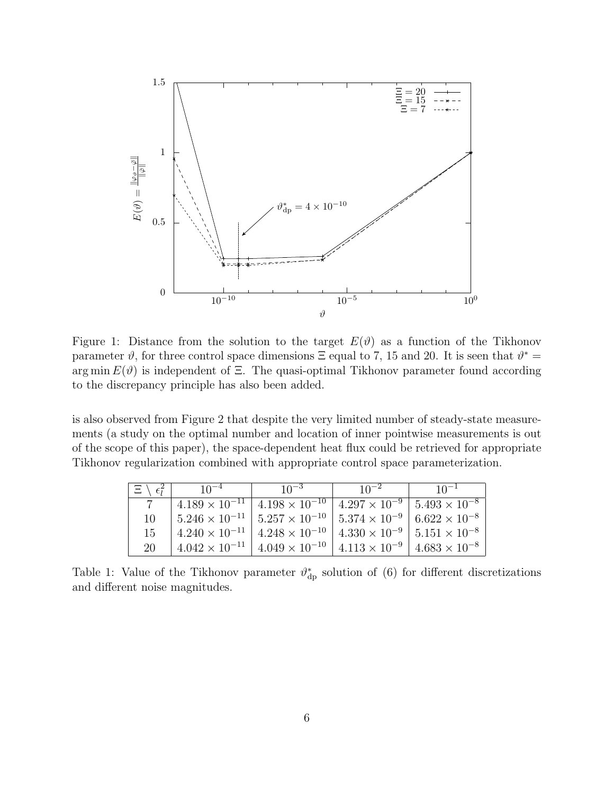

Figure 1: Distance from the solution to the target  $E(\vartheta)$  as a function of the Tikhonov parameter  $\vartheta$ , for three control space dimensions  $\Xi$  equal to 7, 15 and 20. It is seen that  $\vartheta^* =$ arg min  $E(\vartheta)$  is independent of  $\Xi$ . The quasi-optimal Tikhonov parameter found according to the discrepancy principle has also been added.

is also observed from Figure 2 that despite the very limited number of steady-state measurements (a study on the optimal number and location of inner pointwise measurements is out of the scope of this paper), the space-dependent heat flux could be retrieved for appropriate Tikhonov regularization combined with appropriate control space parameterization.

| $\langle \epsilon_i^2 \rangle$<br>日 | $10^{-4}$               | $10^{-3}$                                                                                           | $10^{-2}$ | $10^{-1}$              |
|-------------------------------------|-------------------------|-----------------------------------------------------------------------------------------------------|-----------|------------------------|
|                                     | $4.189 \times 10^{-11}$ | $4.198 \times 10^{-10}$   $4.297 \times 10^{-9}$   $5.493 \times 10^{-8}$                           |           |                        |
| 10                                  |                         | $5.246 \times 10^{-11}$   $5.257 \times 10^{-10}$   $5.374 \times 10^{-9}$   $6.622 \times 10^{-8}$ |           |                        |
| 15                                  | $4.240 \times 10^{-11}$ | $4.248 \times 10^{-10}$   $4.330 \times 10^{-9}$   $5.151 \times 10^{-8}$                           |           |                        |
| 20                                  | $4.042 \times 10^{-11}$ | $4.049 \times 10^{-10}$   $4.113 \times 10^{-9}$                                                    |           | $4.683 \times 10^{-8}$ |

Table 1: Value of the Tikhonov parameter  $\vartheta_{\text{dp}}^*$  solution of (6) for different discretizations and different noise magnitudes.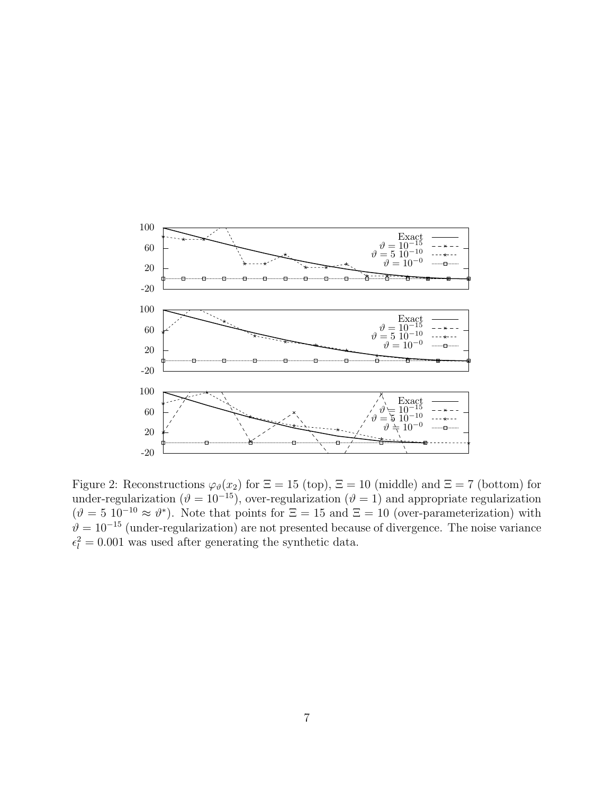

Figure 2: Reconstructions  $\varphi_{\vartheta}(x_2)$  for  $\Xi = 15$  (top),  $\Xi = 10$  (middle) and  $\Xi = 7$  (bottom) for under-regularization ( $\vartheta = 10^{-15}$ ), over-regularization ( $\vartheta = 1$ ) and appropriate regularization  $(\vartheta = 5 \ 10^{-10} \approx \vartheta^*)$ . Note that points for  $\Xi = 15$  and  $\Xi = 10$  (over-parameterization) with  $\hat{\theta} = 10^{-15}$  (under-regularization) are not presented because of divergence. The noise variance  $\epsilon_l^2 = 0.001$  was used after generating the synthetic data.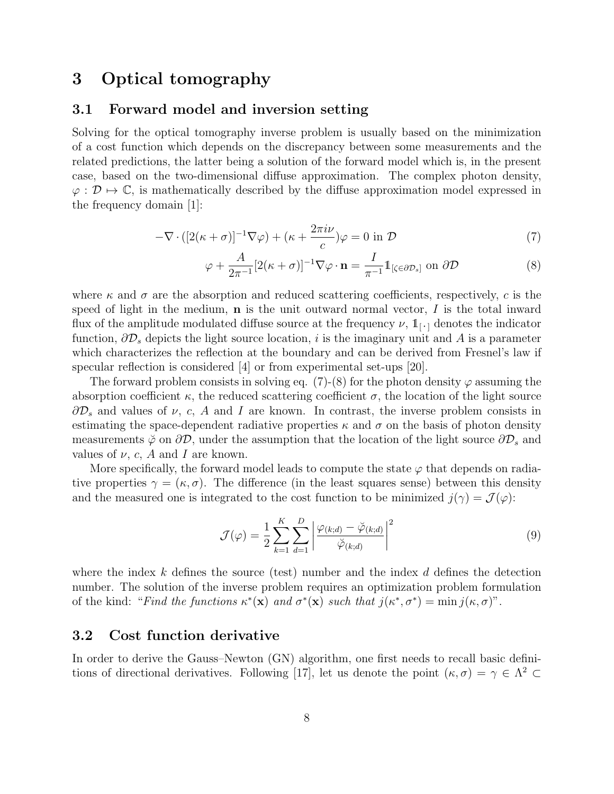### 3 Optical tomography

### 3.1 Forward model and inversion setting

Solving for the optical tomography inverse problem is usually based on the minimization of a cost function which depends on the discrepancy between some measurements and the related predictions, the latter being a solution of the forward model which is, in the present case, based on the two-dimensional diffuse approximation. The complex photon density,  $\varphi : \mathcal{D} \mapsto \mathbb{C}$ , is mathematically described by the diffuse approximation model expressed in the frequency domain [1]:

$$
-\nabla \cdot \left( \left[ 2(\kappa + \sigma) \right]^{-1} \nabla \varphi \right) + (\kappa + \frac{2\pi i \nu}{c})\varphi = 0 \text{ in } \mathcal{D}
$$
 (7)

$$
\varphi + \frac{A}{2\pi^{-1}} [2(\kappa + \sigma)]^{-1} \nabla \varphi \cdot \mathbf{n} = \frac{I}{\pi^{-1}} \mathbb{1}_{[\zeta \in \partial \mathcal{D}_s]} \text{ on } \partial \mathcal{D}
$$
(8)

where  $\kappa$  and  $\sigma$  are the absorption and reduced scattering coefficients, respectively, c is the speed of light in the medium,  $\bf{n}$  is the unit outward normal vector, I is the total inward flux of the amplitude modulated diffuse source at the frequency  $\nu$ ,  $1_{[\cdot]}$  denotes the indicator function,  $\partial \mathcal{D}_s$  depicts the light source location, i is the imaginary unit and A is a parameter which characterizes the reflection at the boundary and can be derived from Fresnel's law if specular reflection is considered [4] or from experimental set-ups [20].

The forward problem consists in solving eq. (7)-(8) for the photon density  $\varphi$  assuming the absorption coefficient  $\kappa$ , the reduced scattering coefficient  $\sigma$ , the location of the light source  $\partial \mathcal{D}_s$  and values of  $\nu$ , c, A and I are known. In contrast, the inverse problem consists in estimating the space-dependent radiative properties  $\kappa$  and  $\sigma$  on the basis of photon density measurements  $\check{\varphi}$  on  $\partial \mathcal{D}$ , under the assumption that the location of the light source  $\partial \mathcal{D}_s$  and values of  $\nu$ , c, A and I are known.

More specifically, the forward model leads to compute the state  $\varphi$  that depends on radiative properties  $\gamma = (\kappa, \sigma)$ . The difference (in the least squares sense) between this density and the measured one is integrated to the cost function to be minimized  $j(\gamma) = \mathcal{J}(\varphi)$ :

$$
\mathcal{J}(\varphi) = \frac{1}{2} \sum_{k=1}^{K} \sum_{d=1}^{D} \left| \frac{\varphi_{(k;d)} - \breve{\varphi}_{(k;d)}}{\breve{\varphi}_{(k;d)}} \right|^2 \tag{9}
$$

where the index  $k$  defines the source (test) number and the index  $d$  defines the detection number. The solution of the inverse problem requires an optimization problem formulation of the kind: "Find the functions  $\kappa^*(\mathbf{x})$  and  $\sigma^*(\mathbf{x})$  such that  $j(\kappa^*, \sigma^*) = \min j(\kappa, \sigma)$ ".

### 3.2 Cost function derivative

In order to derive the Gauss–Newton (GN) algorithm, one first needs to recall basic definitions of directional derivatives. Following [17], let us denote the point  $(\kappa, \sigma) = \gamma \in \Lambda^2$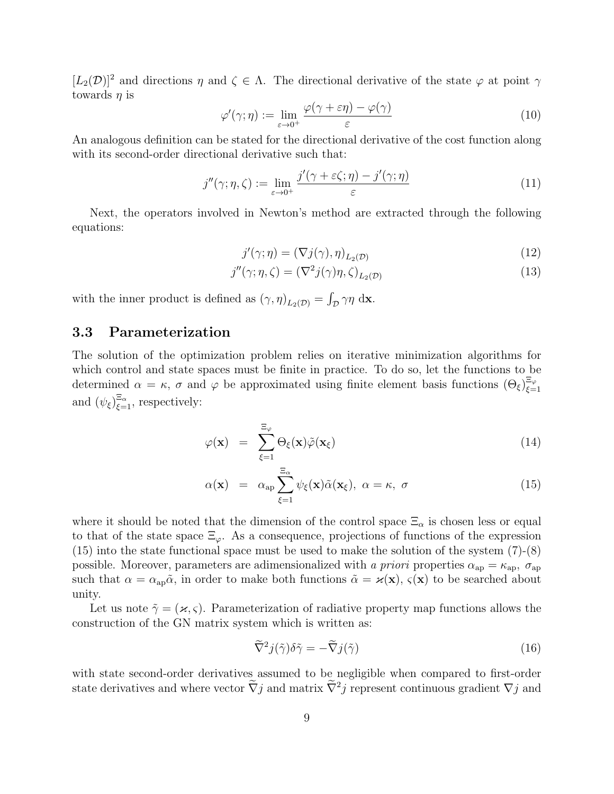$[L_2(\mathcal{D})]^2$  and directions  $\eta$  and  $\zeta \in \Lambda$ . The directional derivative of the state  $\varphi$  at point  $\gamma$ towards  $\eta$  is

$$
\varphi'(\gamma;\eta) := \lim_{\varepsilon \to 0^+} \frac{\varphi(\gamma + \varepsilon \eta) - \varphi(\gamma)}{\varepsilon} \tag{10}
$$

An analogous definition can be stated for the directional derivative of the cost function along with its second-order directional derivative such that:

$$
j''(\gamma;\eta,\zeta) := \lim_{\varepsilon \to 0^+} \frac{j'(\gamma + \varepsilon \zeta;\eta) - j'(\gamma;\eta)}{\varepsilon} \tag{11}
$$

Next, the operators involved in Newton's method are extracted through the following equations:

$$
j'(\gamma;\eta) = (\nabla j(\gamma),\eta)_{L_2(\mathcal{D})}
$$
\n(12)

$$
j''(\gamma; \eta, \zeta) = (\nabla^2 j(\gamma)\eta, \zeta)_{L_2(\mathcal{D})}
$$
\n(13)

with the inner product is defined as  $(\gamma, \eta)_{L_2(\mathcal{D})} = \int_{\mathcal{D}} \gamma \eta \, \mathrm{d} \mathbf{x}$ .

### 3.3 Parameterization

The solution of the optimization problem relies on iterative minimization algorithms for which control and state spaces must be finite in practice. To do so, let the functions to be determined  $\alpha = \kappa$ ,  $\sigma$  and  $\varphi$  be approximated using finite element basis functions  $(\Theta_{\xi})_{\xi=0}^{\Xi_{\varphi}}$  $\xi=1$ and  $(\psi_{\xi})_{\xi=1}^{\Xi_{\alpha}}$ , respectively:

$$
\varphi(\mathbf{x}) = \sum_{\xi=1}^{\Xi_{\varphi}} \Theta_{\xi}(\mathbf{x}) \tilde{\varphi}(\mathbf{x}_{\xi}) \tag{14}
$$

$$
\alpha(\mathbf{x}) = \alpha_{\rm ap} \sum_{\xi=1}^{\Xi_{\alpha}} \psi_{\xi}(\mathbf{x}) \tilde{\alpha}(\mathbf{x}_{\xi}), \ \alpha = \kappa, \ \sigma \tag{15}
$$

where it should be noted that the dimension of the control space  $\Xi_{\alpha}$  is chosen less or equal to that of the state space  $\Xi_{\varphi}$ . As a consequence, projections of functions of the expression (15) into the state functional space must be used to make the solution of the system (7)-(8) possible. Moreover, parameters are adimensionalized with a priori properties  $\alpha_{ap} = \kappa_{ap}$ ,  $\sigma_{ap}$ such that  $\alpha = \alpha_{ap}\tilde{\alpha}$ , in order to make both functions  $\tilde{\alpha} = \varkappa(\mathbf{x})$ ,  $\varsigma(\mathbf{x})$  to be searched about unity.

Let us note  $\tilde{\gamma} = (\varkappa, \varsigma)$ . Parameterization of radiative property map functions allows the construction of the GN matrix system which is written as:

$$
\widetilde{\nabla}^2 j(\widetilde{\gamma}) \delta \widetilde{\gamma} = -\widetilde{\nabla} j(\widetilde{\gamma}) \tag{16}
$$

with state second-order derivatives assumed to be negligible when compared to first-order state derivatives and where vector  $\nabla j$  and matrix  $\nabla^2 j$  represent continuous gradient  $\nabla j$  and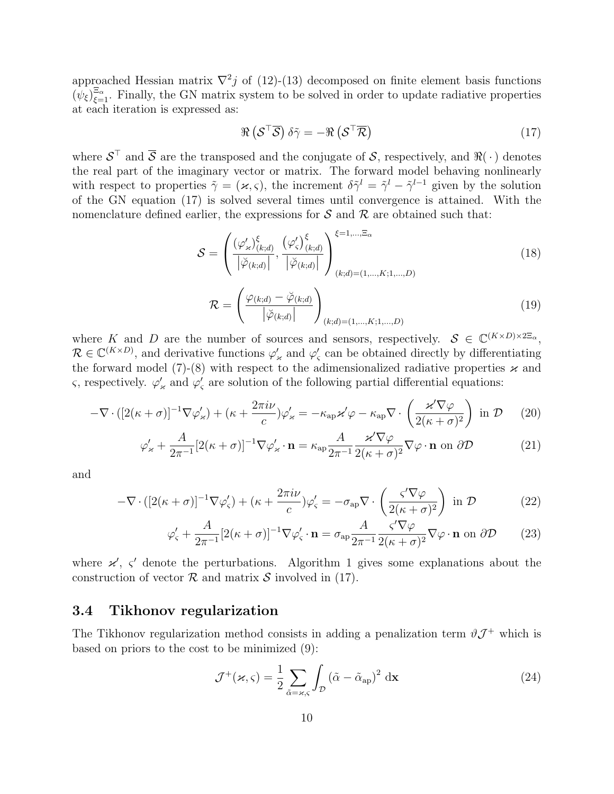approached Hessian matrix  $\nabla^2 j$  of (12)-(13) decomposed on finite element basis functions  $(\psi_{\xi})_{\xi=1}^{\Xi_{\alpha}}$ . Finally, the GN matrix system to be solved in order to update radiative properties at each iteration is expressed as:

$$
\Re\left(\mathcal{S}^\top\overline{\mathcal{S}}\right)\delta\tilde{\gamma} = -\Re\left(\mathcal{S}^\top\overline{\mathcal{R}}\right) \tag{17}
$$

where  $S^{\top}$  and  $\overline{S}$  are the transposed and the conjugate of S, respectively, and  $\Re(\cdot)$  denotes the real part of the imaginary vector or matrix. The forward model behaving nonlinearly with respect to properties  $\tilde{\gamma} = (\varkappa, \varsigma)$ , the increment  $\delta \tilde{\gamma}^l = \tilde{\gamma}^l - \tilde{\gamma}^{l-1}$  given by the solution of the GN equation (17) is solved several times until convergence is attained. With the nomenclature defined earlier, the expressions for  $S$  and  $R$  are obtained such that:

$$
S = \left(\frac{(\varphi_{\varkappa}')^{\xi}_{(k;d)}}{|\breve{\varphi}_{(k;d)}|}, \frac{(\varphi_{\varsigma}')^{\xi}_{(k;d)}}{|\breve{\varphi}_{(k;d)}|}\right)_{(k;d)=(1,\ldots,K;1,\ldots,D)}^{\xi=1,\ldots,\Xi_{\alpha}}
$$
\n(18)

$$
\mathcal{R} = \left(\frac{\varphi_{(k;d)} - \breve{\varphi}_{(k;d)}}{\left|\breve{\varphi}_{(k;d)}\right|}\right)_{(k;d)=(1,\ldots,K;1,\ldots,D)}
$$
(19)

where K and D are the number of sources and sensors, respectively.  $S \in \mathbb{C}^{(K \times D) \times 2\mathbb{E}_{\alpha}}$ ,  $\mathcal{R} \in \mathbb{C}^{(K \times D)}$ , and derivative functions  $\varphi'_{*}$  and  $\varphi'_{s}$  can be obtained directly by differentiating the forward model (7)-(8) with respect to the adimensionalized radiative properties  $\varkappa$  and ς, respectively.  $\varphi'_\n\alpha$  and  $\varphi'_\n\alpha$  are solution of the following partial differential equations:

$$
-\nabla \cdot \left( \left[ 2(\kappa + \sigma) \right]^{-1} \nabla \varphi'_{\varkappa} \right) + (\kappa + \frac{2\pi i \nu}{c}) \varphi'_{\varkappa} = -\kappa_{\text{ap}} \varkappa' \varphi - \kappa_{\text{ap}} \nabla \cdot \left( \frac{\varkappa' \nabla \varphi}{2(\kappa + \sigma)^2} \right) \text{ in } \mathcal{D} \tag{20}
$$

$$
\varphi'_{\varkappa} + \frac{A}{2\pi^{-1}} [2(\kappa + \sigma)]^{-1} \nabla \varphi'_{\varkappa} \cdot \mathbf{n} = \kappa_{\text{ap}} \frac{A}{2\pi^{-1}} \frac{\varkappa' \nabla \varphi}{2(\kappa + \sigma)^2} \nabla \varphi \cdot \mathbf{n} \text{ on } \partial \mathcal{D}
$$
(21)

and

$$
-\nabla \cdot \left( \left[ 2(\kappa + \sigma) \right]^{-1} \nabla \varphi'_{\varsigma} \right) + (\kappa + \frac{2\pi i \nu}{c}) \varphi'_{\varsigma} = -\sigma_{\rm ap} \nabla \cdot \left( \frac{\varsigma' \nabla \varphi}{2(\kappa + \sigma)^2} \right) \text{ in } \mathcal{D}
$$
(22)

$$
\varphi_{\varsigma}^{\prime} + \frac{A}{2\pi^{-1}} [2(\kappa + \sigma)]^{-1} \nabla \varphi_{\varsigma}^{\prime} \cdot \mathbf{n} = \sigma_{\mathrm{ap}} \frac{A}{2\pi^{-1}} \frac{\varsigma^{\prime} \nabla \varphi}{2(\kappa + \sigma)^2} \nabla \varphi \cdot \mathbf{n} \text{ on } \partial \mathcal{D}
$$
 (23)

where  $x'$ ,  $\zeta'$  denote the perturbations. Algorithm 1 gives some explanations about the construction of vector  $\mathcal R$  and matrix  $\mathcal S$  involved in (17).

### 3.4 Tikhonov regularization

The Tikhonov regularization method consists in adding a penalization term  $\vartheta \mathcal{J}^+$  which is based on priors to the cost to be minimized (9):

$$
\mathcal{J}^+(\varkappa,\varsigma) = \frac{1}{2} \sum_{\tilde{\alpha}=\varkappa,\varsigma} \int_{\mathcal{D}} (\tilde{\alpha} - \tilde{\alpha}_{\rm ap})^2 \, \mathrm{d}\mathbf{x} \tag{24}
$$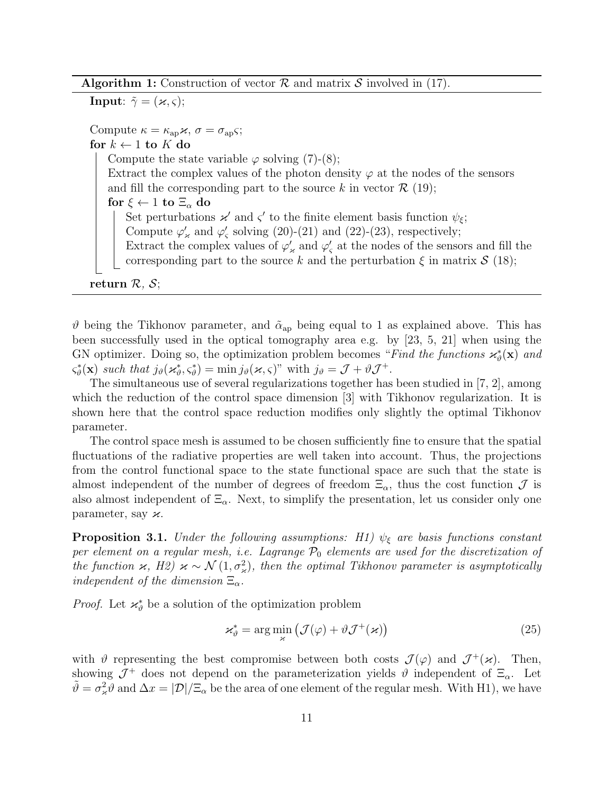Algorithm 1: Construction of vector  $R$  and matrix S involved in (17).

**Input:**  $\tilde{\gamma} = (\varkappa, \varsigma);$ 

Compute  $\kappa = \kappa_{\rm ap} \varkappa, \sigma = \sigma_{\rm ap} \varsigma;$ for  $k \leftarrow 1$  to  $K$  do Compute the state variable  $\varphi$  solving (7)-(8); Extract the complex values of the photon density  $\varphi$  at the nodes of the sensors and fill the corresponding part to the source k in vector  $\mathcal{R}$  (19); for  $\xi \leftarrow 1$  to  $\Xi_{\alpha}$  do Set perturbations  $\varkappa'$  and  $\varsigma'$  to the finite element basis function  $\psi_{\xi}$ ; Compute  $\varphi'_{\varkappa}$  and  $\varphi'_{\varsigma}$  solving (20)-(21) and (22)-(23), respectively; Extract the complex values of  $\varphi'_{\varkappa}$  and  $\varphi'_{\varsigma}$  at the nodes of the sensors and fill the corresponding part to the source k and the perturbation  $\xi$  in matrix  $S$  (18);

return  $\mathcal{R}, \mathcal{S};$ 

 $\vartheta$  being the Tikhonov parameter, and  $\tilde{\alpha}_{ap}$  being equal to 1 as explained above. This has been successfully used in the optical tomography area e.g. by  $[23, 5, 21]$  when using the GN optimizer. Doing so, the optimization problem becomes "Find the functions  $\varkappa_{\vartheta}^*(\mathbf{x})$  and  $\varsigma_{\vartheta}^*(\mathbf{x})$  such that  $j_{\vartheta}(\mathbf{x}_{\vartheta}^*, \varsigma_{\vartheta}^*) = \min j_{\vartheta}(\mathbf{x}, \varsigma)$ " with  $j_{\vartheta} = \mathcal{J} + \vartheta \mathcal{J}^+$ .

The simultaneous use of several regularizations together has been studied in [7, 2], among which the reduction of the control space dimension [3] with Tikhonov regularization. It is shown here that the control space reduction modifies only slightly the optimal Tikhonov parameter.

The control space mesh is assumed to be chosen sufficiently fine to ensure that the spatial fluctuations of the radiative properties are well taken into account. Thus, the projections from the control functional space to the state functional space are such that the state is almost independent of the number of degrees of freedom  $\Xi_{\alpha}$ , thus the cost function  $\mathcal J$  is also almost independent of  $\Xi_{\alpha}$ . Next, to simplify the presentation, let us consider only one parameter, say  $\varkappa$ .

**Proposition 3.1.** Under the following assumptions: H<sub>1</sub>)  $\psi_{\xi}$  are basis functions constant per element on a regular mesh, i.e. Lagrange  $P_0$  elements are used for the discretization of the function  $\varkappa$ , H2)  $\varkappa \sim \mathcal{N}(1, \sigma_{\varkappa}^2)$ , then the optimal Tikhonov parameter is asymptotically independent of the dimension  $\Xi_{\alpha}$ .

*Proof.* Let  $\mathcal{H}_{\vartheta}^{*}$  be a solution of the optimization problem

$$
\varkappa_{\vartheta}^* = \arg\min_{\varkappa} \left( \mathcal{J}(\varphi) + \vartheta \mathcal{J}^+(\varkappa) \right) \tag{25}
$$

with  $\vartheta$  representing the best compromise between both costs  $\mathcal{J}(\varphi)$  and  $\mathcal{J}^+(\varkappa)$ . Then, showing  $\mathcal{J}^+$  does not depend on the parameterization yields  $\vartheta$  independent of  $\Xi_{\alpha}$ . Let  $\tilde{\vartheta} = \sigma_{\varkappa}^2 \tilde{\vartheta}$  and  $\Delta x = |\mathcal{D}| / \Xi_{\alpha}$  be the area of one element of the regular mesh. With H1), we have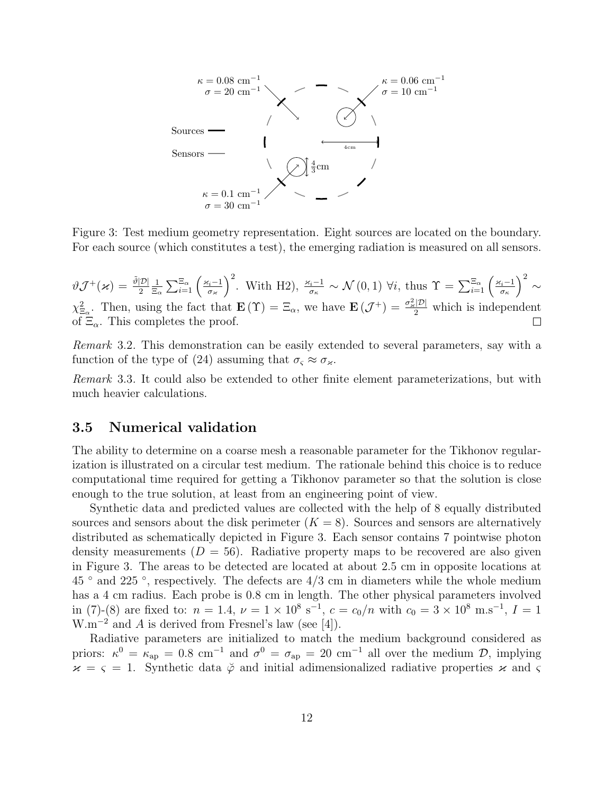

Figure 3: Test medium geometry representation. Eight sources are located on the boundary. For each source (which constitutes a test), the emerging radiation is measured on all sensors.

$$
\vartheta \mathcal{J}^+(\varkappa) = \frac{\tilde{\vartheta}|\mathcal{D}|}{2} \frac{1}{\Xi_{\alpha}} \sum_{i=1}^{\Xi_{\alpha}} \left(\frac{\varkappa_i - 1}{\sigma_{\varkappa}}\right)^2
$$
. With H2),  $\frac{\varkappa_i - 1}{\sigma_{\kappa}} \sim \mathcal{N}(0, 1)$   $\forall i$ , thus  $\Upsilon = \sum_{i=1}^{\Xi_{\alpha}} \left(\frac{\varkappa_i - 1}{\sigma_{\kappa}}\right)^2 \sim$   
 $\chi^2_{\Xi_{\alpha}}$ . Then, using the fact that  $\mathbf{E}(\Upsilon) = \Xi_{\alpha}$ , we have  $\mathbf{E}(\mathcal{J}^+) = \frac{\sigma_{\varkappa}^2|\mathcal{D}|}{2}$  which is independent of  $\Xi_{\alpha}$ . This completes the proof.

Remark 3.2. This demonstration can be easily extended to several parameters, say with a function of the type of (24) assuming that  $\sigma_{\varsigma} \approx \sigma_{\varkappa}$ .

Remark 3.3. It could also be extended to other finite element parameterizations, but with much heavier calculations.

#### 3.5 Numerical validation

The ability to determine on a coarse mesh a reasonable parameter for the Tikhonov regularization is illustrated on a circular test medium. The rationale behind this choice is to reduce computational time required for getting a Tikhonov parameter so that the solution is close enough to the true solution, at least from an engineering point of view.

Synthetic data and predicted values are collected with the help of 8 equally distributed sources and sensors about the disk perimeter  $(K = 8)$ . Sources and sensors are alternatively distributed as schematically depicted in Figure 3. Each sensor contains 7 pointwise photon density measurements  $(D = 56)$ . Radiative property maps to be recovered are also given in Figure 3. The areas to be detected are located at about 2.5 cm in opposite locations at  $45$   $\degree$  and  $225$   $\degree$ , respectively. The defects are  $4/3$  cm in diameters while the whole medium has a 4 cm radius. Each probe is 0.8 cm in length. The other physical parameters involved in (7)-(8) are fixed to:  $n = 1.4$ ,  $\nu = 1 \times 10^8$  s<sup>-1</sup>,  $c = c_0/n$  with  $c_0 = 3 \times 10^8$  m.s<sup>-1</sup>,  $I = 1$ W.m<sup> $-2$ </sup> and A is derived from Fresnel's law (see [4]).

Radiative parameters are initialized to match the medium background considered as priors:  $\kappa^0 = \kappa_{ap} = 0.8$  cm<sup>-1</sup> and  $\sigma^0 = \sigma_{ap} = 20$  cm<sup>-1</sup> all over the medium  $\mathcal{D}$ , implying  $x = \varsigma = 1$ . Synthetic data  $\check{\varphi}$  and initial adimensionalized radiative properties x and  $\varsigma$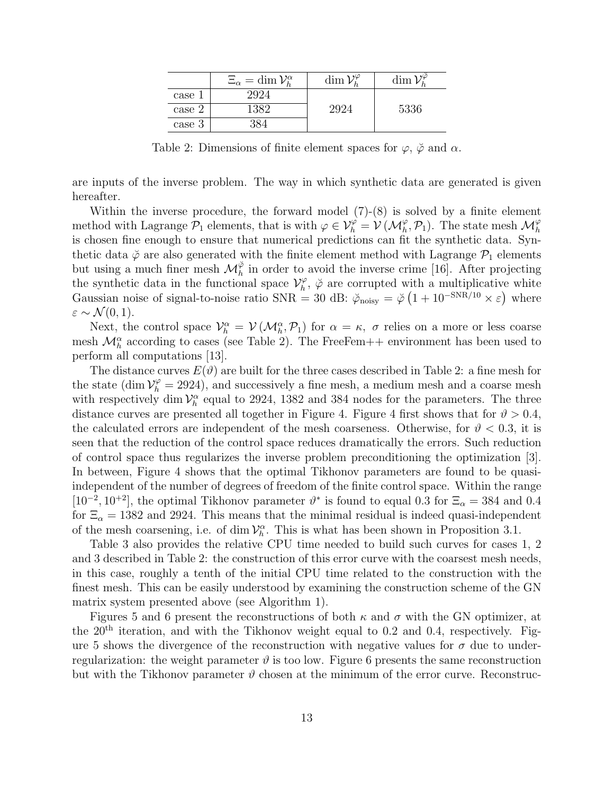|        | $\Xi_{\alpha} = \dim \mathcal{V}_h^{\alpha}$ | $\dim \mathcal{V}_k^{\varphi}$ | dim  |
|--------|----------------------------------------------|--------------------------------|------|
| case 1 | 2924                                         |                                |      |
| case 2 | 1389                                         | .7924                          | 5336 |
| case 3 |                                              |                                |      |

Table 2: Dimensions of finite element spaces for  $\varphi$ ,  $\breve{\varphi}$  and  $\alpha$ .

are inputs of the inverse problem. The way in which synthetic data are generated is given hereafter.

Within the inverse procedure, the forward model (7)-(8) is solved by a finite element method with Lagrange  $\mathcal{P}_1$  elements, that is with  $\varphi \in \mathcal{V}_h^{\varphi} = \mathcal{V}(\mathcal{M}_h^{\varphi}, \mathcal{P}_1)$ . The state mesh  $\mathcal{M}_h^{\varphi}$ is chosen fine enough to ensure that numerical predictions can fit the synthetic data. Synthetic data  $\check{\varphi}$  are also generated with the finite element method with Lagrange  $\mathcal{P}_1$  elements but using a much finer mesh  $\mathcal{M}_h^{\check{\varphi}}$  in order to avoid the inverse crime [16]. After projecting the synthetic data in the functional space  $\mathcal{V}_h^{\varphi}$  $h_h^{\varphi}$ ,  $\breve{\varphi}$  are corrupted with a multiplicative white Gaussian noise of signal-to-noise ratio SNR = 30 dB:  $\phi_{\text{noisy}} = \phi \left(1 + 10^{-\text{SNR}/10} \times \varepsilon\right)$  where  $\varepsilon \sim \mathcal{N}(0,1).$ 

Next, the control space  $\mathcal{V}_h^{\alpha} = \mathcal{V}(\mathcal{M}_h^{\alpha}, \mathcal{P}_1)$  for  $\alpha = \kappa$ ,  $\sigma$  relies on a more or less coarse mesh  $\mathcal{M}_h^{\alpha}$  according to cases (see Table 2). The FreeFem++ environment has been used to perform all computations [13].

The distance curves  $E(\vartheta)$  are built for the three cases described in Table 2: a fine mesh for the state (dim  $\mathcal{V}_h^{\varphi} = 2924$ ), and successively a fine mesh, a medium mesh and a coarse mesh with respectively dim  $\mathcal{V}_h^{\alpha}$  equal to 2924, 1382 and 384 nodes for the parameters. The three distance curves are presented all together in Figure 4. Figure 4 first shows that for  $\vartheta > 0.4$ , the calculated errors are independent of the mesh coarseness. Otherwise, for  $\vartheta < 0.3$ , it is seen that the reduction of the control space reduces dramatically the errors. Such reduction of control space thus regularizes the inverse problem preconditioning the optimization [3]. In between, Figure 4 shows that the optimal Tikhonov parameters are found to be quasiindependent of the number of degrees of freedom of the finite control space. Within the range [10<sup>-2</sup>, 10<sup>+2</sup>], the optimal Tikhonov parameter  $\vartheta^*$  is found to equal 0.3 for  $\Xi_{\alpha} = 384$  and 0.4 for  $\Xi_{\alpha} = 1382$  and 2924. This means that the minimal residual is indeed quasi-independent of the mesh coarsening, i.e. of dim  $\mathcal{V}_h^{\alpha}$ . This is what has been shown in Proposition 3.1.

Table 3 also provides the relative CPU time needed to build such curves for cases 1, 2 and 3 described in Table 2: the construction of this error curve with the coarsest mesh needs, in this case, roughly a tenth of the initial CPU time related to the construction with the finest mesh. This can be easily understood by examining the construction scheme of the GN matrix system presented above (see Algorithm 1).

Figures 5 and 6 present the reconstructions of both  $\kappa$  and  $\sigma$  with the GN optimizer, at the  $20<sup>th</sup>$  iteration, and with the Tikhonov weight equal to 0.2 and 0.4, respectively. Figure 5 shows the divergence of the reconstruction with negative values for  $\sigma$  due to underregularization: the weight parameter  $\vartheta$  is too low. Figure 6 presents the same reconstruction but with the Tikhonov parameter  $\vartheta$  chosen at the minimum of the error curve. Reconstruc-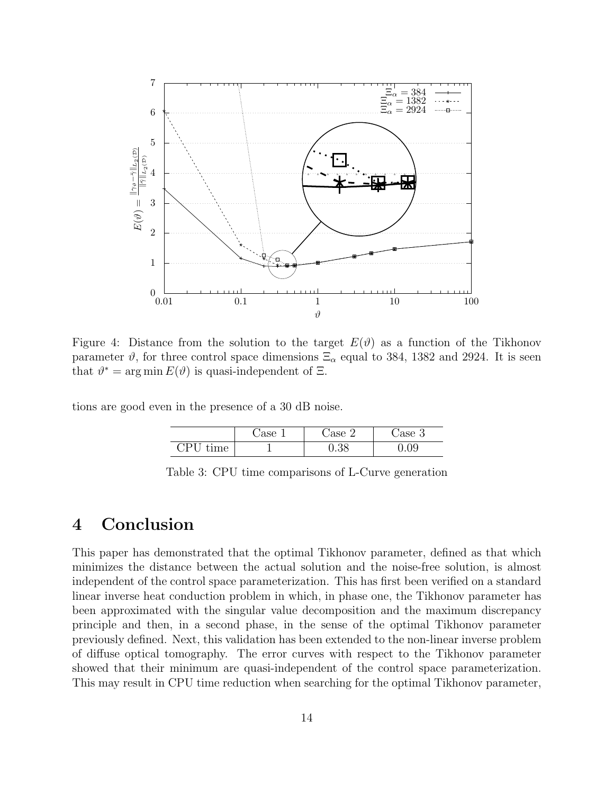

Figure 4: Distance from the solution to the target  $E(\vartheta)$  as a function of the Tikhonov parameter  $\vartheta$ , for three control space dimensions  $\Xi_{\alpha}$  equal to 384, 1382 and 2924. It is seen that  $\vartheta^* = \arg \min E(\vartheta)$  is quasi-independent of  $\Xi$ .

tions are good even in the presence of a 30 dB noise.

|                                   | $7a$ <sub>o</sub> c | $\alpha$ o<br>↵ | ase<br>್ರ          |
|-----------------------------------|---------------------|-----------------|--------------------|
| ٦P<br>$\cdot$ .<br>$m\omega$<br>◡ |                     | 90<br>∪.∪∪      | $\tilde{}$<br>J.UJ |

Table 3: CPU time comparisons of L-Curve generation

### 4 Conclusion

This paper has demonstrated that the optimal Tikhonov parameter, defined as that which minimizes the distance between the actual solution and the noise-free solution, is almost independent of the control space parameterization. This has first been verified on a standard linear inverse heat conduction problem in which, in phase one, the Tikhonov parameter has been approximated with the singular value decomposition and the maximum discrepancy principle and then, in a second phase, in the sense of the optimal Tikhonov parameter previously defined. Next, this validation has been extended to the non-linear inverse problem of diffuse optical tomography. The error curves with respect to the Tikhonov parameter showed that their minimum are quasi-independent of the control space parameterization. This may result in CPU time reduction when searching for the optimal Tikhonov parameter,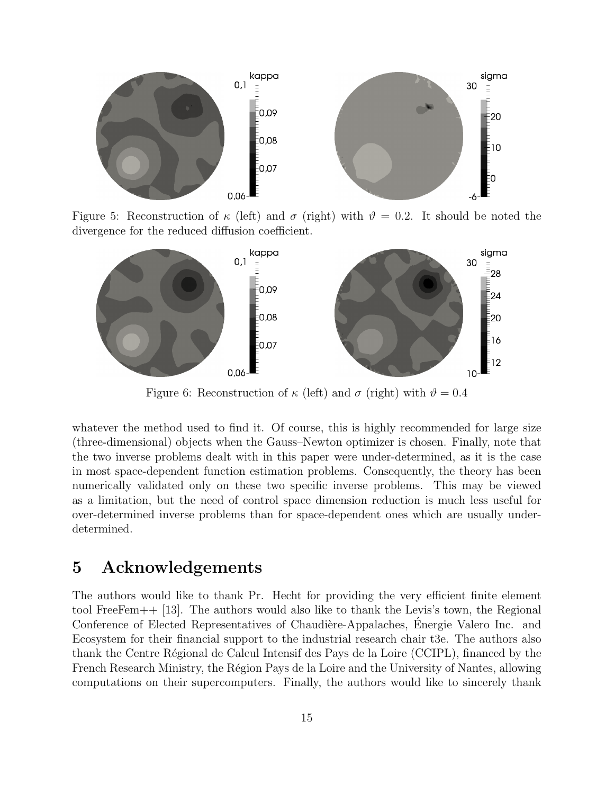

Figure 5: Reconstruction of  $\kappa$  (left) and  $\sigma$  (right) with  $\vartheta = 0.2$ . It should be noted the divergence for the reduced diffusion coefficient.



Figure 6: Reconstruction of  $\kappa$  (left) and  $\sigma$  (right) with  $\vartheta = 0.4$ 

whatever the method used to find it. Of course, this is highly recommended for large size (three-dimensional) objects when the Gauss–Newton optimizer is chosen. Finally, note that the two inverse problems dealt with in this paper were under-determined, as it is the case in most space-dependent function estimation problems. Consequently, the theory has been numerically validated only on these two specific inverse problems. This may be viewed as a limitation, but the need of control space dimension reduction is much less useful for over-determined inverse problems than for space-dependent ones which are usually underdetermined.

### 5 Acknowledgements

The authors would like to thank Pr. Hecht for providing the very efficient finite element tool FreeFem++ [13]. The authors would also like to thank the Levis's town, the Regional Conference of Elected Representatives of Chaudière-Appalaches, Energie Valero Inc. and Ecosystem for their financial support to the industrial research chair t3e. The authors also thank the Centre Régional de Calcul Intensif des Pays de la Loire (CCIPL), financed by the French Research Ministry, the Région Pays de la Loire and the University of Nantes, allowing computations on their supercomputers. Finally, the authors would like to sincerely thank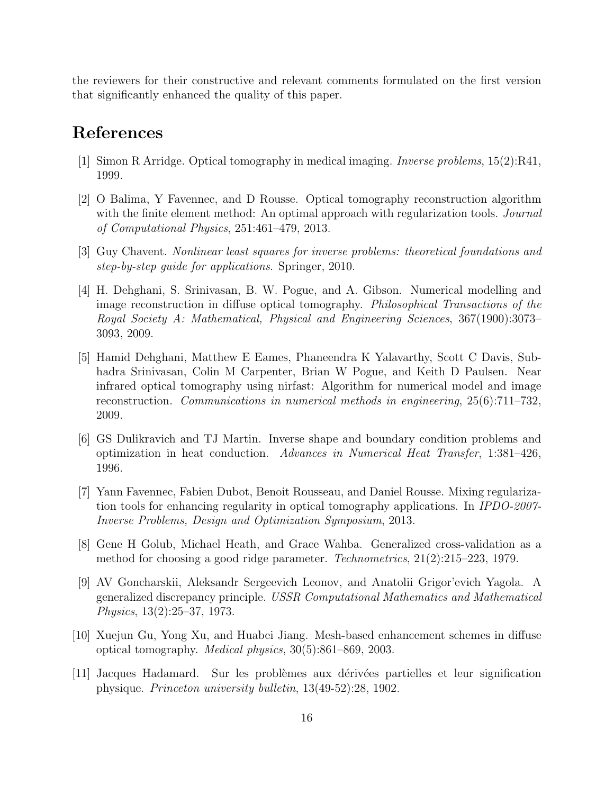the reviewers for their constructive and relevant comments formulated on the first version that significantly enhanced the quality of this paper.

## References

- [1] Simon R Arridge. Optical tomography in medical imaging. Inverse problems, 15(2):R41, 1999.
- [2] O Balima, Y Favennec, and D Rousse. Optical tomography reconstruction algorithm with the finite element method: An optimal approach with regularization tools. Journal of Computational Physics, 251:461–479, 2013.
- [3] Guy Chavent. Nonlinear least squares for inverse problems: theoretical foundations and step-by-step guide for applications. Springer, 2010.
- [4] H. Dehghani, S. Srinivasan, B. W. Pogue, and A. Gibson. Numerical modelling and image reconstruction in diffuse optical tomography. Philosophical Transactions of the Royal Society A: Mathematical, Physical and Engineering Sciences, 367(1900):3073– 3093, 2009.
- [5] Hamid Dehghani, Matthew E Eames, Phaneendra K Yalavarthy, Scott C Davis, Subhadra Srinivasan, Colin M Carpenter, Brian W Pogue, and Keith D Paulsen. Near infrared optical tomography using nirfast: Algorithm for numerical model and image reconstruction. Communications in numerical methods in engineering, 25(6):711–732, 2009.
- [6] GS Dulikravich and TJ Martin. Inverse shape and boundary condition problems and optimization in heat conduction. Advances in Numerical Heat Transfer, 1:381–426, 1996.
- [7] Yann Favennec, Fabien Dubot, Benoit Rousseau, and Daniel Rousse. Mixing regularization tools for enhancing regularity in optical tomography applications. In IPDO-2007- Inverse Problems, Design and Optimization Symposium, 2013.
- [8] Gene H Golub, Michael Heath, and Grace Wahba. Generalized cross-validation as a method for choosing a good ridge parameter. Technometrics, 21(2):215–223, 1979.
- [9] AV Goncharskii, Aleksandr Sergeevich Leonov, and Anatolii Grigor'evich Yagola. A generalized discrepancy principle. USSR Computational Mathematics and Mathematical Physics, 13(2):25–37, 1973.
- [10] Xuejun Gu, Yong Xu, and Huabei Jiang. Mesh-based enhancement schemes in diffuse optical tomography. Medical physics, 30(5):861–869, 2003.
- [11] Jacques Hadamard. Sur les probl`emes aux d´eriv´ees partielles et leur signification physique. Princeton university bulletin, 13(49-52):28, 1902.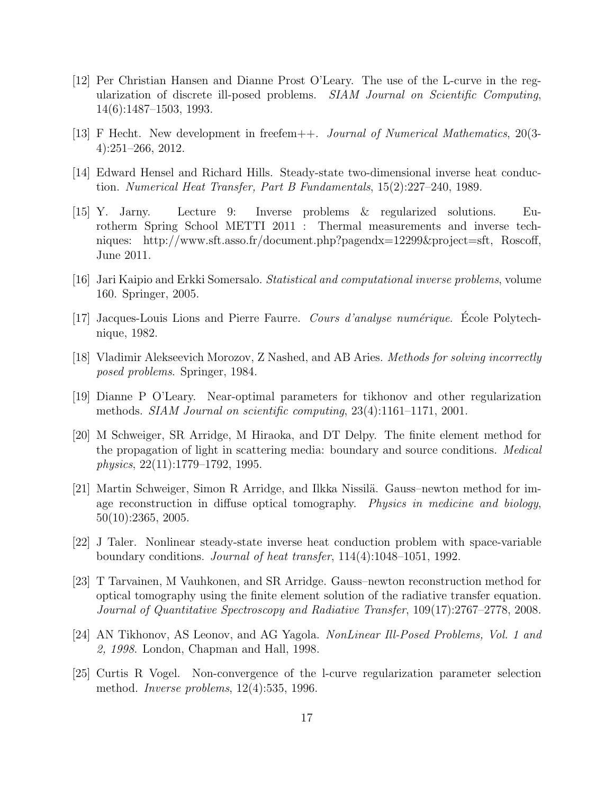- [12] Per Christian Hansen and Dianne Prost O'Leary. The use of the L-curve in the regularization of discrete ill-posed problems. SIAM Journal on Scientific Computing, 14(6):1487–1503, 1993.
- [13] F Hecht. New development in freefem++. Journal of Numerical Mathematics, 20(3- 4):251–266, 2012.
- [14] Edward Hensel and Richard Hills. Steady-state two-dimensional inverse heat conduction. Numerical Heat Transfer, Part B Fundamentals, 15(2):227–240, 1989.
- [15] Y. Jarny. Lecture 9: Inverse problems & regularized solutions. Eurotherm Spring School METTI 2011 : Thermal measurements and inverse techniques: http://www.sft.asso.fr/document.php?pagendx=12299&project=sft, Roscoff, June 2011.
- [16] Jari Kaipio and Erkki Somersalo. Statistical and computational inverse problems, volume 160. Springer, 2005.
- $[17]$  Jacques-Louis Lions and Pierre Faurre. Cours d'analyse numérique. Ecole Polytechnique, 1982.
- [18] Vladimir Alekseevich Morozov, Z Nashed, and AB Aries. Methods for solving incorrectly posed problems. Springer, 1984.
- [19] Dianne P O'Leary. Near-optimal parameters for tikhonov and other regularization methods. SIAM Journal on scientific computing, 23(4):1161–1171, 2001.
- [20] M Schweiger, SR Arridge, M Hiraoka, and DT Delpy. The finite element method for the propagation of light in scattering media: boundary and source conditions. Medical physics, 22(11):1779–1792, 1995.
- [21] Martin Schweiger, Simon R Arridge, and Ilkka Nissil¨a. Gauss–newton method for image reconstruction in diffuse optical tomography. Physics in medicine and biology, 50(10):2365, 2005.
- [22] J Taler. Nonlinear steady-state inverse heat conduction problem with space-variable boundary conditions. Journal of heat transfer, 114(4):1048–1051, 1992.
- [23] T Tarvainen, M Vauhkonen, and SR Arridge. Gauss–newton reconstruction method for optical tomography using the finite element solution of the radiative transfer equation. Journal of Quantitative Spectroscopy and Radiative Transfer, 109(17):2767–2778, 2008.
- [24] AN Tikhonov, AS Leonov, and AG Yagola. NonLinear Ill-Posed Problems, Vol. 1 and 2, 1998. London, Chapman and Hall, 1998.
- [25] Curtis R Vogel. Non-convergence of the l-curve regularization parameter selection method. Inverse problems, 12(4):535, 1996.